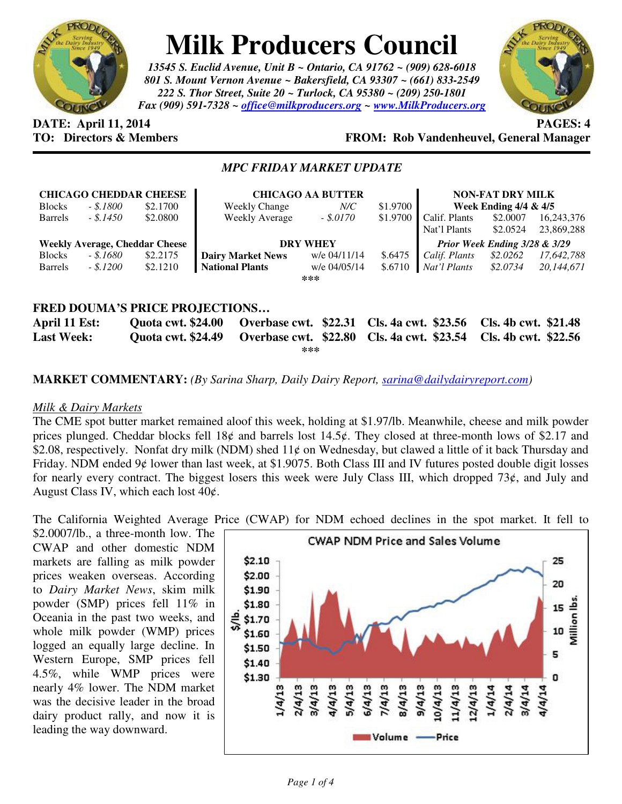

# **Milk Producers Council**

*13545 S. Euclid Avenue, Unit B ~ Ontario, CA 91762 ~ (909) 628-6018 801 S. Mount Vernon Avenue ~ Bakersfield, CA 93307 ~ (661) 833-2549 222 S. Thor Street, Suite 20 ~ Turlock, CA 95380 ~ (209) 250-1801 Fax (909) 591-7328 ~ office@milkproducers.org ~ www.MilkProducers.org*



## **DATE: April 11, 2014 PAGES: 4**

### **TO: Directors & Members FROM: Rob Vandenheuvel, General Manager**

### *MPC FRIDAY MARKET UPDATE*

| <b>CHICAGO CHEDDAR CHEESE</b>         |           |          | <b>CHICAGO AA BUTTER</b> |              |          | <b>NON-FAT DRY MILK</b>       |          |            |  |
|---------------------------------------|-----------|----------|--------------------------|--------------|----------|-------------------------------|----------|------------|--|
| <b>Blocks</b>                         | - \$.1800 | \$2.1700 | Weekly Change            | $N\!/\!C$    | \$1.9700 | Week Ending $4/4 & 4/5$       |          |            |  |
| <b>Barrels</b>                        | $-.1450$  | \$2.0800 | <b>Weekly Average</b>    | $-.$ \$.0170 | \$1.9700 | Calif. Plants                 | \$2,0007 | 16,243,376 |  |
|                                       |           |          |                          |              |          | Nat'l Plants                  | \$2.0524 | 23,869,288 |  |
| <b>Weekly Average, Cheddar Cheese</b> |           |          | <b>DRY WHEY</b>          |              |          | Prior Week Ending 3/28 & 3/29 |          |            |  |
| <b>Blocks</b>                         | - \$.1680 | \$2.2175 | <b>Dairy Market News</b> | w/e 04/11/14 | \$.6475  | Calif. Plants                 | \$2.0262 | 17,642,788 |  |
| <b>Barrels</b>                        | $-.1200$  | \$2.1210 | <b>National Plants</b>   | w/e 04/05/14 | \$.6710  | Nat'l Plants                  | \$2.0734 | 20,144,671 |  |
|                                       |           |          |                          | ***          |          |                               |          |            |  |
|                                       |           |          |                          |              |          |                               |          |            |  |
| FRED DOUMA'S PRICE PROJECTIONS        |           |          |                          |              |          |                               |          |            |  |

| April 11 Est:     |     | Quota cwt. \$24.00 Overbase cwt. \$22.31 Cls. 4a cwt. \$23.56 Cls. 4b cwt. \$21.48 |  |
|-------------------|-----|------------------------------------------------------------------------------------|--|
| <b>Last Week:</b> |     | Quota cwt. \$24.49 Overbase cwt. \$22.80 Cls. 4a cwt. \$23.54 Cls. 4b cwt. \$22.56 |  |
|                   | *** |                                                                                    |  |

### **MARKET COMMENTARY:** *(By Sarina Sharp, Daily Dairy Report, sarina@dailydairyreport.com)*

### *Milk & Dairy Markets*

The CME spot butter market remained aloof this week, holding at \$1.97/lb. Meanwhile, cheese and milk powder prices plunged. Cheddar blocks fell 18¢ and barrels lost 14.5¢. They closed at three-month lows of \$2.17 and \$2.08, respectively. Nonfat dry milk (NDM) shed 11¢ on Wednesday, but clawed a little of it back Thursday and Friday. NDM ended 9¢ lower than last week, at \$1.9075. Both Class III and IV futures posted double digit losses for nearly every contract. The biggest losers this week were July Class III, which dropped  $73¢$ , and July and August Class IV, which each lost  $40¢$ .

The California Weighted Average Price (CWAP) for NDM echoed declines in the spot market. It fell to

\$2.0007/lb., a three-month low. The CWAP and other domestic NDM markets are falling as milk powder prices weaken overseas. According to *Dairy Market News*, skim milk powder (SMP) prices fell 11% in Oceania in the past two weeks, and whole milk powder (WMP) prices logged an equally large decline. In Western Europe, SMP prices fell 4.5%, while WMP prices were nearly 4% lower. The NDM market was the decisive leader in the broad dairy product rally, and now it is leading the way downward.

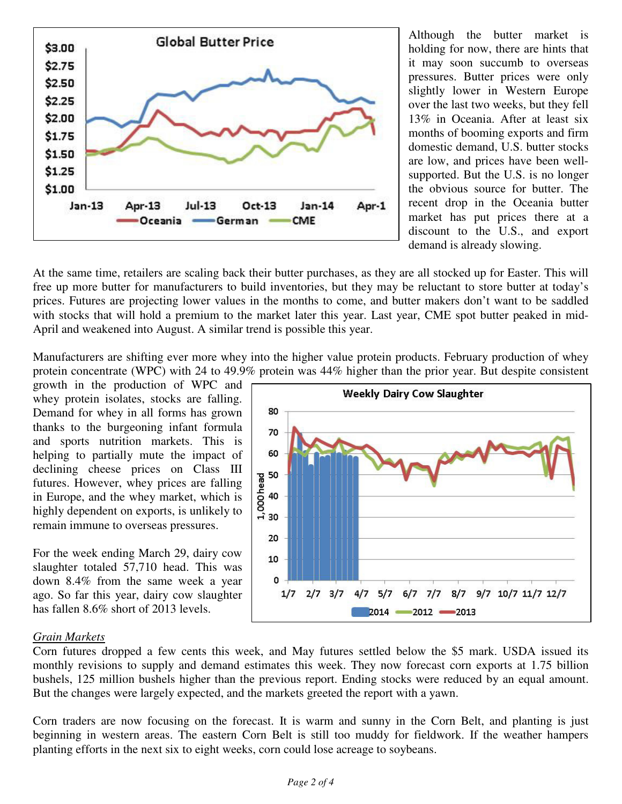

Although the butter market is holding for now, there are hints that it may soon succumb to overseas pressures. Butter prices were only slightly lower in Western Europe over the last two weeks, but they fell 13% in Oceania. After at least six months of booming exports and firm domestic demand, U.S. butter stocks are low, and prices have been wellsupported. But the U.S. is no longer the obvious source for butter. The recent drop in the Oceania butter market has put prices there at a discount to the U.S., and export demand is already slowing.

At the same time, retailers are scaling back their butter purchases, as they are all stocked up for Easter. This will free up more butter for manufacturers to build inventories, but they may be reluctant to store butter at today's prices. Futures are projecting lower values in the months to come, and butter makers don't want to be saddled with stocks that will hold a premium to the market later this year. Last year, CME spot butter peaked in mid-April and weakened into August. A similar trend is possible this year.

Manufacturers are shifting ever more whey into the higher value protein products. February production of whey protein concentrate (WPC) with 24 to 49.9% protein was 44% higher than the prior year. But despite consistent

growth in the production of WPC and whey protein isolates, stocks are falling. Demand for whey in all forms has grown thanks to the burgeoning infant formula and sports nutrition markets. This is helping to partially mute the impact of declining cheese prices on Class III futures. However, whey prices are falling in Europe, and the whey market, which is highly dependent on exports, is unlikely to remain immune to overseas pressures.

For the week ending March 29, dairy cow slaughter totaled 57,710 head. This was down 8.4% from the same week a year ago. So far this year, dairy cow slaughter has fallen 8.6% short of 2013 levels.



### *Grain Markets*

Corn futures dropped a few cents this week, and May futures settled below the \$5 mark. USDA issued its monthly revisions to supply and demand estimates this week. They now forecast corn exports at 1.75 billion bushels, 125 million bushels higher than the previous report. Ending stocks were reduced by an equal amount. But the changes were largely expected, and the markets greeted the report with a yawn.

Corn traders are now focusing on the forecast. It is warm and sunny in the Corn Belt, and planting is just beginning in western areas. The eastern Corn Belt is still too muddy for fieldwork. If the weather hampers planting efforts in the next six to eight weeks, corn could lose acreage to soybeans.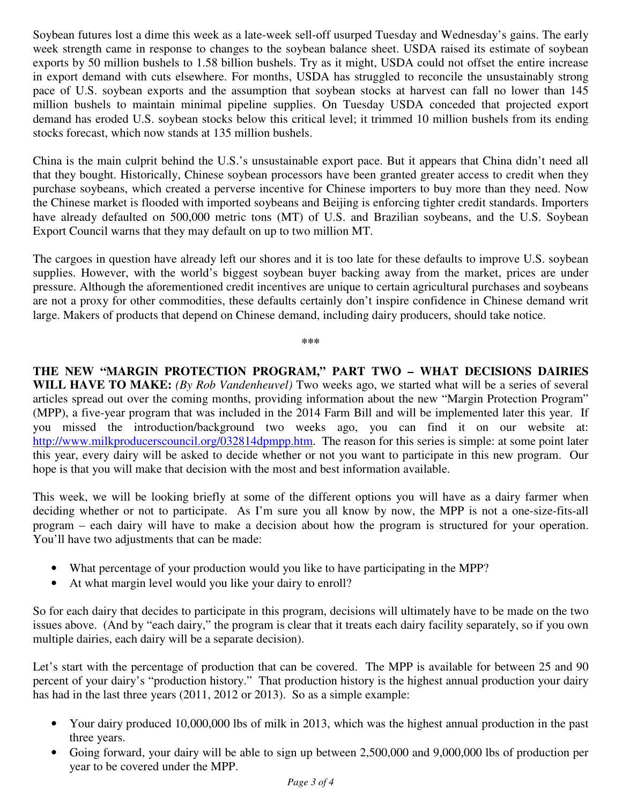Soybean futures lost a dime this week as a late-week sell-off usurped Tuesday and Wednesday's gains. The early week strength came in response to changes to the soybean balance sheet. USDA raised its estimate of soybean exports by 50 million bushels to 1.58 billion bushels. Try as it might, USDA could not offset the entire increase in export demand with cuts elsewhere. For months, USDA has struggled to reconcile the unsustainably strong pace of U.S. soybean exports and the assumption that soybean stocks at harvest can fall no lower than 145 million bushels to maintain minimal pipeline supplies. On Tuesday USDA conceded that projected export demand has eroded U.S. soybean stocks below this critical level; it trimmed 10 million bushels from its ending stocks forecast, which now stands at 135 million bushels.

China is the main culprit behind the U.S.'s unsustainable export pace. But it appears that China didn't need all that they bought. Historically, Chinese soybean processors have been granted greater access to credit when they purchase soybeans, which created a perverse incentive for Chinese importers to buy more than they need. Now the Chinese market is flooded with imported soybeans and Beijing is enforcing tighter credit standards. Importers have already defaulted on 500,000 metric tons (MT) of U.S. and Brazilian soybeans, and the U.S. Soybean Export Council warns that they may default on up to two million MT.

The cargoes in question have already left our shores and it is too late for these defaults to improve U.S. soybean supplies. However, with the world's biggest soybean buyer backing away from the market, prices are under pressure. Although the aforementioned credit incentives are unique to certain agricultural purchases and soybeans are not a proxy for other commodities, these defaults certainly don't inspire confidence in Chinese demand writ large. Makers of products that depend on Chinese demand, including dairy producers, should take notice.

**\*\*\*** 

**THE NEW "MARGIN PROTECTION PROGRAM," PART TWO – WHAT DECISIONS DAIRIES WILL HAVE TO MAKE:** *(By Rob Vandenheuvel)* Two weeks ago, we started what will be a series of several articles spread out over the coming months, providing information about the new "Margin Protection Program" (MPP), a five-year program that was included in the 2014 Farm Bill and will be implemented later this year. If you missed the introduction/background two weeks ago, you can find it on our website at: http://www.milkproducerscouncil.org/032814dpmpp.htm. The reason for this series is simple: at some point later this year, every dairy will be asked to decide whether or not you want to participate in this new program. Our hope is that you will make that decision with the most and best information available.

This week, we will be looking briefly at some of the different options you will have as a dairy farmer when deciding whether or not to participate. As I'm sure you all know by now, the MPP is not a one-size-fits-all program – each dairy will have to make a decision about how the program is structured for your operation. You'll have two adjustments that can be made:

- What percentage of your production would you like to have participating in the MPP?
- At what margin level would you like your dairy to enroll?

So for each dairy that decides to participate in this program, decisions will ultimately have to be made on the two issues above. (And by "each dairy," the program is clear that it treats each dairy facility separately, so if you own multiple dairies, each dairy will be a separate decision).

Let's start with the percentage of production that can be covered. The MPP is available for between 25 and 90 percent of your dairy's "production history." That production history is the highest annual production your dairy has had in the last three years (2011, 2012 or 2013). So as a simple example:

- Your dairy produced 10,000,000 lbs of milk in 2013, which was the highest annual production in the past three years.
- Going forward, your dairy will be able to sign up between 2,500,000 and 9,000,000 lbs of production per year to be covered under the MPP.